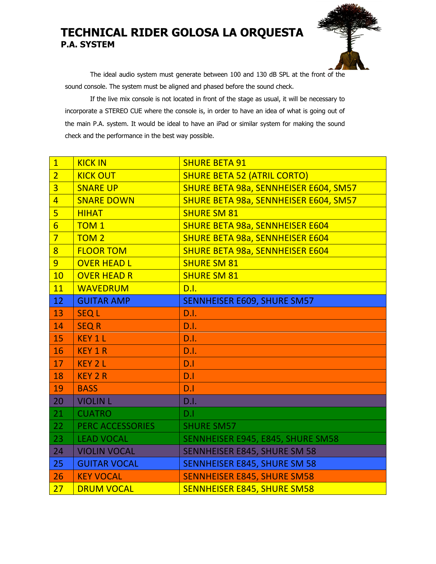## **TECHNICAL RIDER GOLOSA LA ORQUESTA P.A. SYSTEM**



The ideal audio system must generate between 100 and 130 dB SPL at the front of the sound console. The system must be aligned and phased before the sound check.

If the live mix console is not located in front of the stage as usual, it will be necessary to incorporate a STEREO CUE where the console is, in order to have an idea of what is going out of the main P.A. system. It would be ideal to have an iPad or similar system for making the sound check and the performance in the best way possible.

| $\boxed{1}$     | <b>KICK IN</b>          | <b>SHURE BETA 91</b>                   |
|-----------------|-------------------------|----------------------------------------|
| $\overline{2}$  | <b>KICK OUT</b>         | <b>SHURE BETA 52 (ATRIL CORTO)</b>     |
| $\overline{3}$  | <b>SNARE UP</b>         | SHURE BETA 98a, SENNHEISER E604, SM57  |
| $\overline{4}$  | <b>SNARE DOWN</b>       | SHURE BETA 98a, SENNHEISER E604, SM57  |
| $\overline{5}$  | <b>HIHAT</b>            | <b>SHURE SM 81</b>                     |
| $6\overline{6}$ | <b>TOM1</b>             | <b>SHURE BETA 98a, SENNHEISER E604</b> |
| $\overline{7}$  | TOM <sub>2</sub>        | <b>SHURE BETA 98a, SENNHEISER E604</b> |
| $\overline{8}$  | <b>FLOOR TOM</b>        | <b>SHURE BETA 98a, SENNHEISER E604</b> |
| $\overline{9}$  | <b>OVER HEAD L</b>      | <b>SHURE SM 81</b>                     |
| 10              | <b>OVER HEAD R</b>      | <b>SHURE SM 81</b>                     |
| 11              | <b>WAVEDRUM</b>         | D.I.                                   |
| 12              | <b>GUITAR AMP</b>       | SENNHEISER E609, SHURE SM57            |
| 13              | <b>SEQL</b>             | D.I.                                   |
| 14              | <b>SEQ R</b>            | D.I.                                   |
| <b>15</b>       | <b>KEY 1 L</b>          | D.1.                                   |
| 16              | <b>KEY 1 R</b>          | D.I.                                   |
| 17              | <b>KEY 2 L</b>          | D.1                                    |
| 18              | <b>KEY 2 R</b>          | D.1                                    |
| 19              | <b>BASS</b>             | D.1                                    |
| 20              | <b>VIOLIN L</b>         | D.I.                                   |
| 21              | <b>CUATRO</b>           | D.1                                    |
| 22              | <b>PERC ACCESSORIES</b> | <b>SHURE SM57</b>                      |
| 23              | <b>LEAD VOCAL</b>       | SENNHEISER E945, E845, SHURE SM58      |
| 24              | <b>VIOLIN VOCAL</b>     | <b>SENNHEISER E845, SHURE SM 58</b>    |
| 25              | <b>GUITAR VOCAL</b>     | <b>SENNHEISER E845, SHURE SM 58</b>    |
| 26              | <b>KEY VOCAL</b>        | <b>SENNHEISER E845, SHURE SM58</b>     |
| 27              | <b>DRUM VOCAL</b>       | <b>SENNHEISER E845, SHURE SM58</b>     |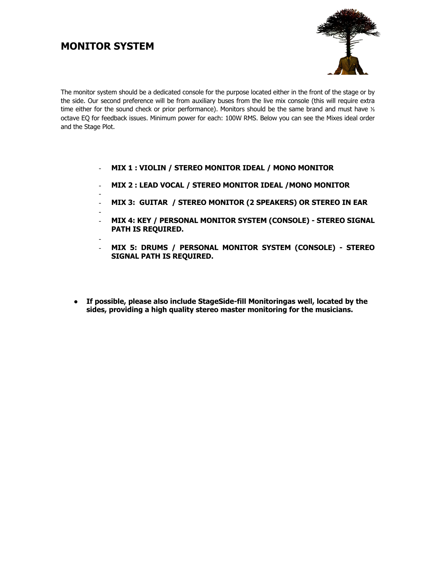### **MONITOR SYSTEM**



The monitor system should be a dedicated console for the purpose located either in the front of the stage or by the side. Our second preference will be from auxiliary buses from the live mix console (this will require extra time either for the sound check or prior performance). Monitors should be the same brand and must have ⅓ octave EQ for feedback issues. Minimum power for each: 100W RMS. Below you can see the Mixes ideal order and the Stage Plot.

- **MIX 1 : VIOLIN / STEREO MONITOR IDEAL / MONO MONITOR**
- **MIX 2 : LEAD VOCAL / STEREO MONITOR IDEAL /MONO MONITOR**
- - **MIX 3: GUITAR / STEREO MONITOR (2 SPEAKERS) OR STEREO IN EAR**
- - **MIX 4: KEY / PERSONAL MONITOR SYSTEM (CONSOLE) - STEREO SIGNAL PATH IS REQUIRED.**
- - **MIX 5: DRUMS / PERSONAL MONITOR SYSTEM (CONSOLE) - STEREO SIGNAL PATH IS REQUIRED.**
- **If possible, please also include StageSide-fill Monitoringas well, located by the sides, providing a high quality stereo master monitoring for the musicians.**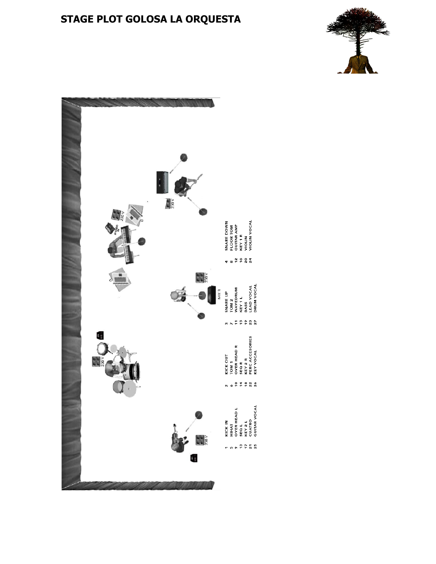# **STAGE PLOT GOLOSA LA ORQUESTA**



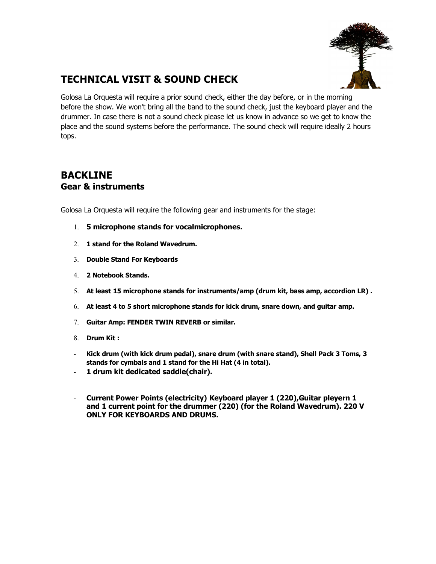

## **TECHNICAL VISIT & SOUND CHECK**

Golosa La Orquesta will require a prior sound check, either the day before, or in the morning before the show. We won't bring all the band to the sound check, just the keyboard player and the drummer. In case there is not a sound check please let us know in advance so we get to know the place and the sound systems before the performance. The sound check will require ideally 2 hours tops.

### **BACKLINE Gear & instruments**

Golosa La Orquesta will require the following gear and instruments for the stage:

- 1. **5 microphone stands for vocalmicrophones.**
- 2. **1 stand for the Roland Wavedrum.**
- 3. **Double Stand For Keyboards**
- 4. **2 Notebook Stands.**
- 5. **At least 15 microphone stands for instruments/amp (drum kit, bass amp, accordion LR) .**
- 6. **At least 4 to 5 short microphone stands for kick drum, snare down, and guitar amp.**
- 7. **Guitar Amp: FENDER TWIN REVERB or similar.**
- 8. **Drum Kit :**
- **Kick drum (with kick drum pedal), snare drum (with snare stand), Shell Pack 3 Toms, 3 stands for cymbals and 1 stand for the Hi Hat (4 in total).**
- **1 drum kit dedicated saddle(chair).**
- **Current Power Points (electricity) Keyboard player 1 (220),Guitar pleyern 1 and 1 current point for the drummer (220) (for the Roland Wavedrum). 220 V ONLY FOR KEYBOARDS AND DRUMS.**